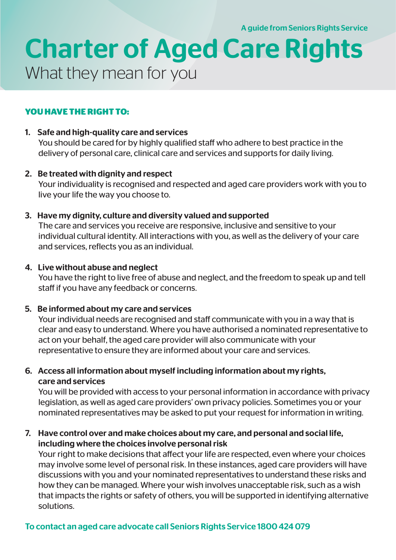A guide from Seniors Rights Service

# Charter of Aged Care Rights What they mean for you

# **YOU HAVE THE RIGHT TO:**

#### 1. Safe and high-quality care and services

You should be cared for by highly qualified staff who adhere to best practice in the delivery of personal care, clinical care and services and supports for daily living.

#### 2. Be treated with dignity and respect

Your individuality is recognised and respected and aged care providers work with you to live your life the way you choose to.

#### 3. Have my dignity, culture and diversity valued and supported

The care and services you receive are responsive, inclusive and sensitive to your individual cultural identity. All interactions with you, as well as the delivery of your care and services, reflects you as an individual.

#### 4. Live without abuse and neglect

You have the right to live free of abuse and neglect, and the freedom to speak up and tell staff if you have any feedback or concerns.

# 5. Be informed about my care and services

Your individual needs are recognised and staff communicate with you in a way that is clear and easy to understand. Where you have authorised a nominated representative to act on your behalf, the aged care provider will also communicate with your representative to ensure they are informed about your care and services.

# 6. Access all information about myself including information about my rights, care and services

You will be provided with access to your personal information in accordance with privacy legislation, as well as aged care providers' own privacy policies. Sometimes you or your nominated representatives may be asked to put your request for information in writing.

#### 7. Have control over and make choices about my care, and personal and social life, including where the choices involve personal risk

Your right to make decisions that affect your life are respected, even where your choices may involve some level of personal risk. In these instances, aged care providers will have discussions with you and your nominated representatives to understand these risks and how they can be managed. Where your wish involves unacceptable risk, such as a wish that impacts the rights or safety of others, you will be supported in identifying alternative solutions.

# To contact an aged care advocate call Seniors Rights Service 1800 424 079